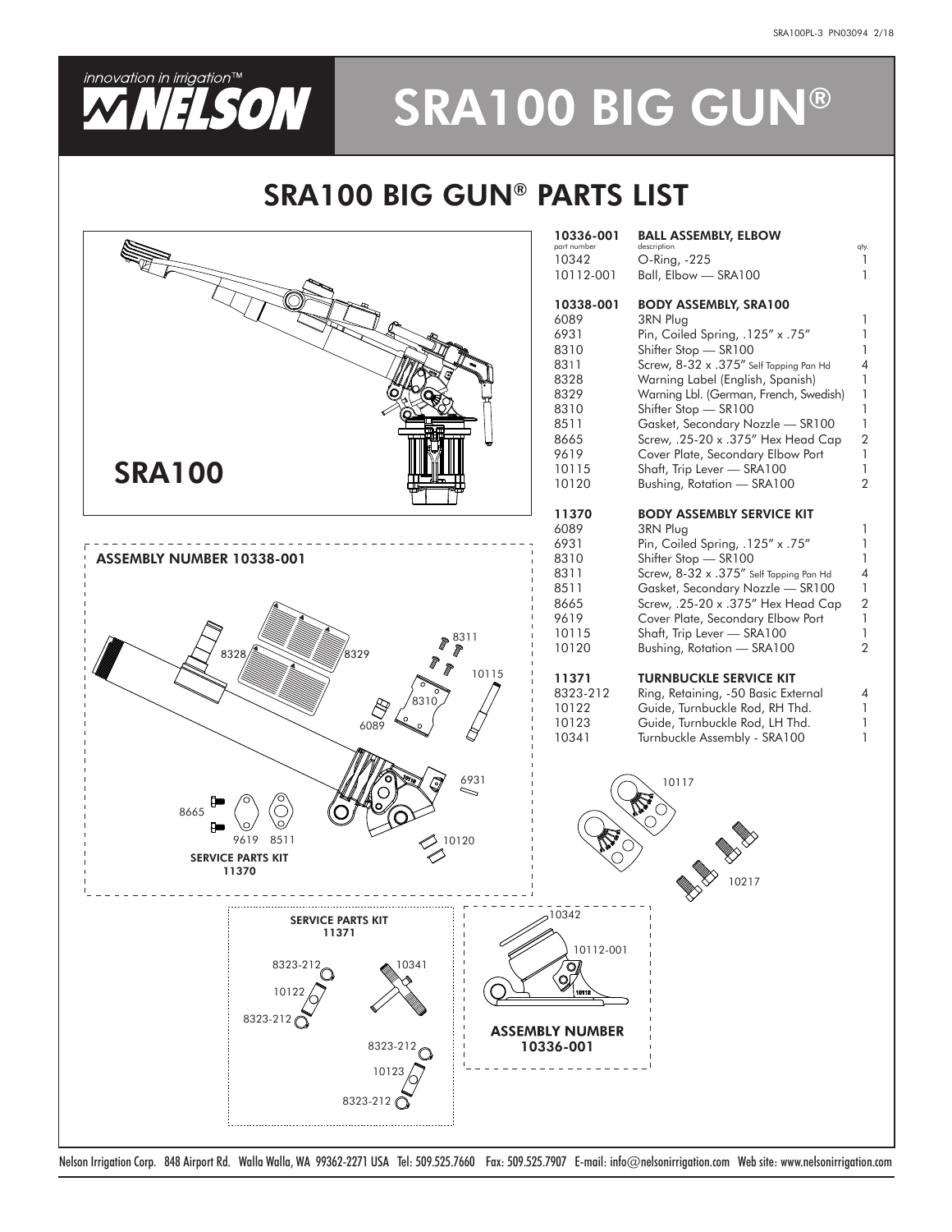

# **VELSON** SRA100 BIG GUN®

### SRA100 BIG GUN® PARTS LIST



Nelson Irrigation Corp. 848 Airport Rd. Walla Walla, WA 99362-2271 USA Tel: 509.525.7660 Fax: 509.525.7907 E-mail: info@nelsonirrigation.com Web site: www.nelsonirrigation.com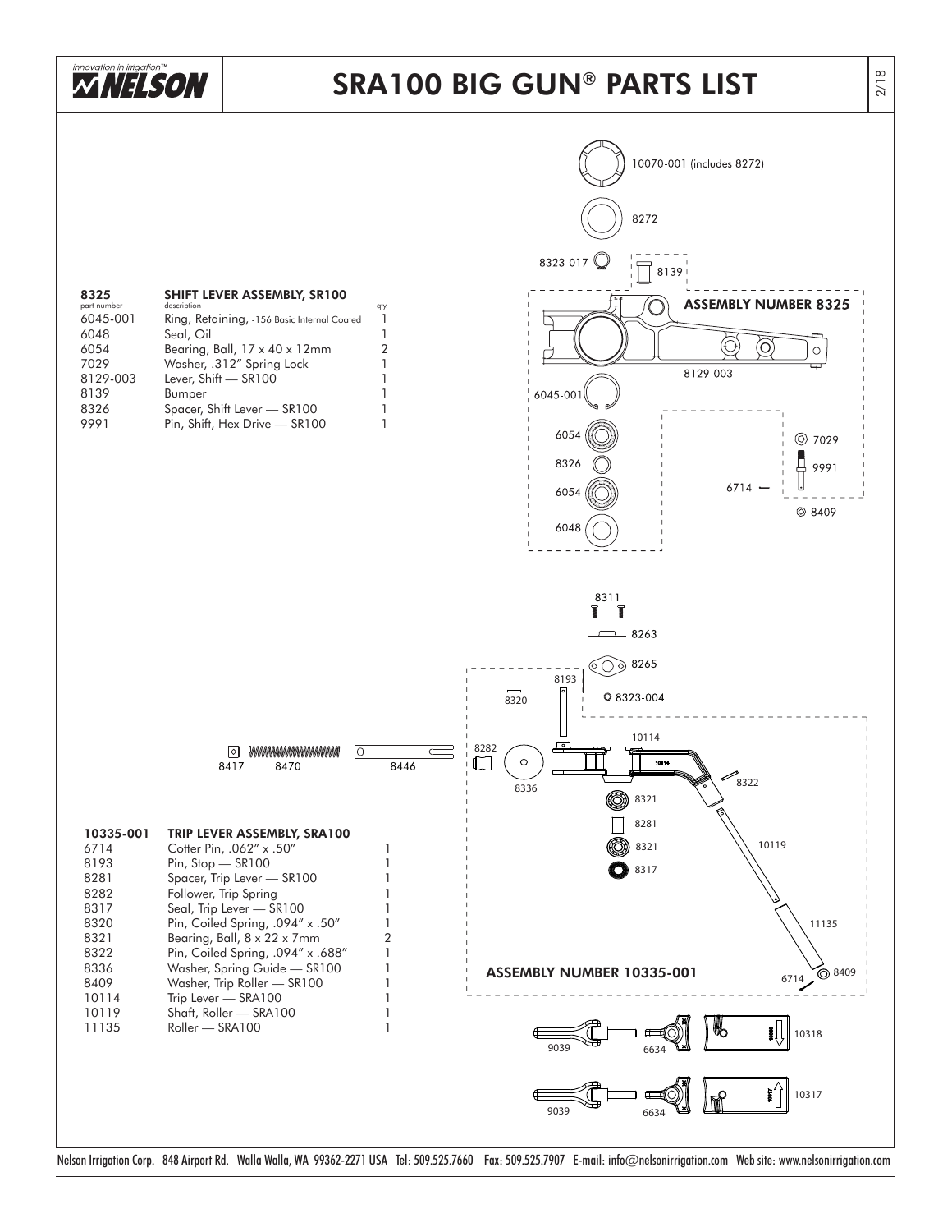

#### SRA100 BIG GUN ® PARTS LIST



Nelson Irrigation Corp. 848 Airport Rd. Walla Walla, WA 99362-2271 USA Tel: 509.525.7660 Fax: 509.525.7907 E-mail: info@nelsonirrigation.com Web site: www.nelsonirrigation.com

2/18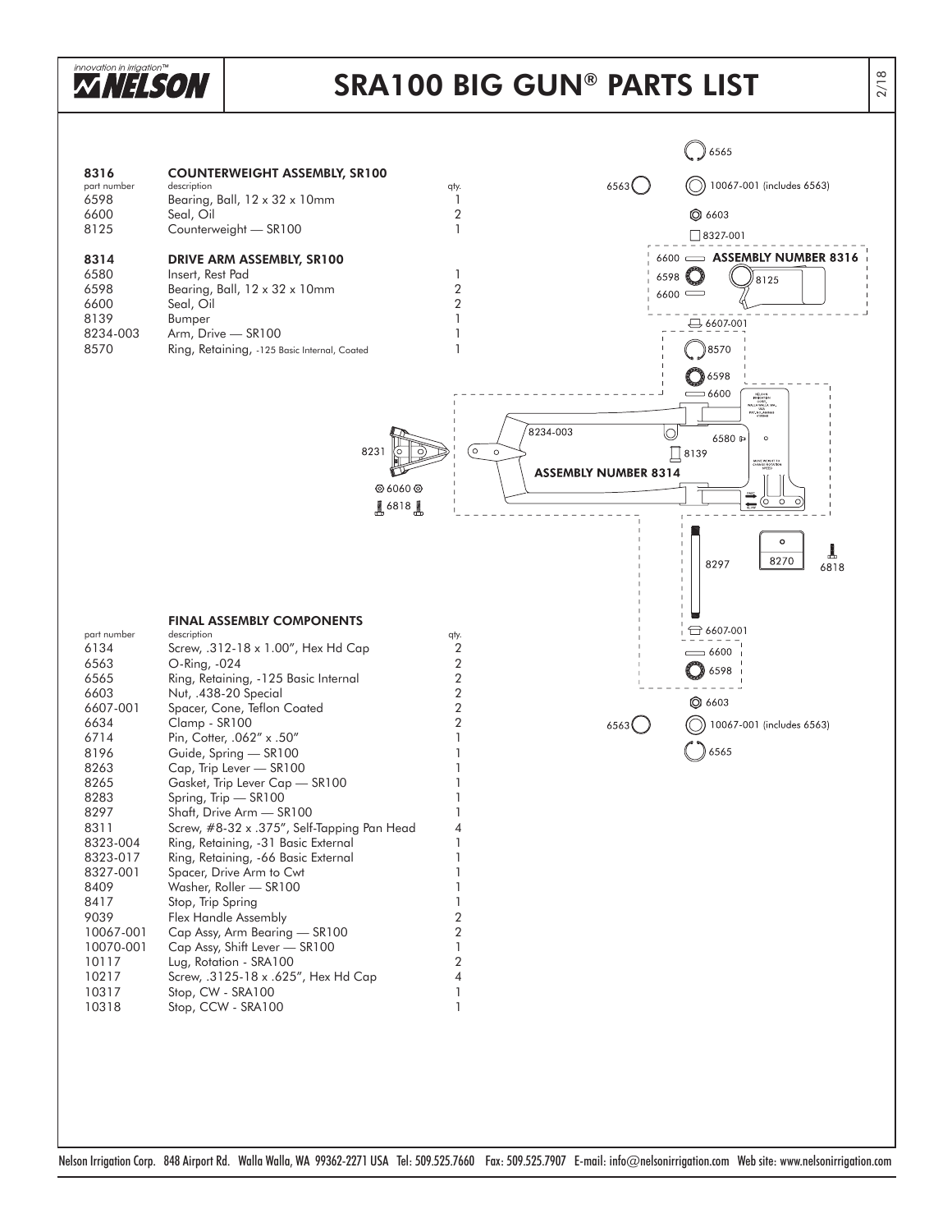

## SRA100 BIG GUN® PARTS LIST

|                     |                                                                            |                                    |                             | 6565                                                                      |
|---------------------|----------------------------------------------------------------------------|------------------------------------|-----------------------------|---------------------------------------------------------------------------|
| 8316<br>part number | <b>COUNTERWEIGHT ASSEMBLY, SR100</b><br>description                        | qty.                               | 6563(                       | 10067-001 (includes 6563)                                                 |
| 6598                | Bearing, Ball, 12 x 32 x 10mm                                              | 1                                  |                             |                                                                           |
| 6600<br>8125        | Seal, Oil<br>Counterweight - SR100                                         | $\boldsymbol{2}$<br>1              |                             | <b>Q</b> 6603<br>$\Box$ 8327-001                                          |
| 8314                | DRIVE ARM ASSEMBLY, SR100                                                  |                                    |                             | 6600 - ASSEMBLY NUMBER 8316                                               |
| 6580                | Insert, Rest Pad                                                           | 1                                  | 6598                        | 8125                                                                      |
| 6598<br>6600        | Bearing, Ball, 12 x 32 x 10mm<br>Seal, Oil                                 | $\boldsymbol{2}$<br>$\overline{2}$ |                             | $6600$ $\subset$                                                          |
| 8139<br>8234-003    | Bumper<br>Arm, Drive - SR100                                               |                                    |                             | $96607-001$                                                               |
| 8570                | Ring, Retaining, -125 Basic Internal, Coated                               | $\mathbf{1}$                       |                             | 8570)                                                                     |
|                     |                                                                            |                                    |                             | 36598                                                                     |
|                     |                                                                            |                                    |                             | $=$ 6600<br>NELSON<br>IRMGATION<br>HOLLA WALLA<br>USA<br>PAT, NO, 4900660 |
|                     |                                                                            | 8234-003                           | O                           | 6580 ₽<br>$\circ$                                                         |
|                     | 8231                                                                       | O.<br>$\circ$                      |                             | [8139]<br>MOVE WEIGHT TO<br>CHANGE ROTATION<br>SPEED                      |
|                     | <b>◎ 6060 ◎</b>                                                            |                                    | <b>ASSEMBLY NUMBER 8314</b> |                                                                           |
|                     | 6818                                                                       |                                    |                             | (0<br>$\circ$<br>$\frac{1}{2\pi m}$                                       |
|                     |                                                                            |                                    |                             | $\circ$                                                                   |
|                     |                                                                            |                                    |                             | T<br>8270<br>8297<br>6818                                                 |
|                     |                                                                            |                                    |                             |                                                                           |
|                     |                                                                            |                                    |                             |                                                                           |
| part number         | <b>FINAL ASSEMBLY COMPONENTS</b><br>description                            | qty.                               |                             | $\ominus$ 6607-001                                                        |
| 6134<br>6563        | Screw, .312-18 x 1.00", Hex Hd Cap<br>O-Ring, -024                         | 2<br>$\overline{2}$                |                             | $\sim$ 6600                                                               |
| 6565                | Ring, Retaining, -125 Basic Internal                                       | $\boldsymbol{2}$<br>$\overline{2}$ |                             | 6598                                                                      |
| 6603<br>6607-001    | Nut, .438-20 Special<br>Spacer, Cone, Teflon Coated                        | $\boldsymbol{2}$                   |                             | <b>Q</b> 6603                                                             |
| 6634<br>6714        | Clamp - SR100<br>Pin, Cotter, .062" x .50"                                 | $\boldsymbol{2}$                   | 6563                        | 10067-001 (includes 6563)                                                 |
| 8196<br>8263        | Guide, Spring - SR100                                                      |                                    |                             | 6565                                                                      |
| 8265                | Cap, Trip Lever - SR100<br>Gasket, Trip Lever Cap - SR100                  |                                    |                             |                                                                           |
| 8283<br>8297        | Spring, Trip - SR100<br>Shaft, Drive Arm - SR100                           |                                    |                             |                                                                           |
| 8311<br>8323-004    | Screw, #8-32 x .375", Self-Tapping Pan Head                                | 4                                  |                             |                                                                           |
| 8323-017            | Ring, Retaining, -31 Basic External<br>Ring, Retaining, -66 Basic External | 1<br>1                             |                             |                                                                           |
| 8327-001<br>8409    | Spacer, Drive Arm to Cwt<br>Washer, Roller - SR100                         |                                    |                             |                                                                           |
| 8417<br>9039        | Stop, Trip Spring                                                          | 1<br>$\boldsymbol{2}$              |                             |                                                                           |
| 10067-001           | Flex Handle Assembly<br>Cap Assy, Arm Bearing - SR100                      | $\boldsymbol{2}$                   |                             |                                                                           |
| 10070-001<br>10117  | Cap Assy, Shift Lever - SR100<br>Lug, Rotation - SRA100                    | 1<br>$\overline{2}$                |                             |                                                                           |
| 10217               | Screw, .3125-18 x .625", Hex Hd Cap                                        | 4                                  |                             |                                                                           |
| 10317<br>10318      | Stop, CW - SRA100<br>Stop, CCW - SRA100                                    | 1<br>$\mathbf{1}$                  |                             |                                                                           |
|                     |                                                                            |                                    |                             |                                                                           |
|                     |                                                                            |                                    |                             |                                                                           |
|                     |                                                                            |                                    |                             |                                                                           |

Nelson Irrigation Corp. 848 Airport Rd. Walla Walla, WA 99362-2271 USA Tel: 509.525.7660 Fax: 509.525.7907 E-mail: info@nelsonirrigation.com Web site: www.nelsonirrigation.com

2/18